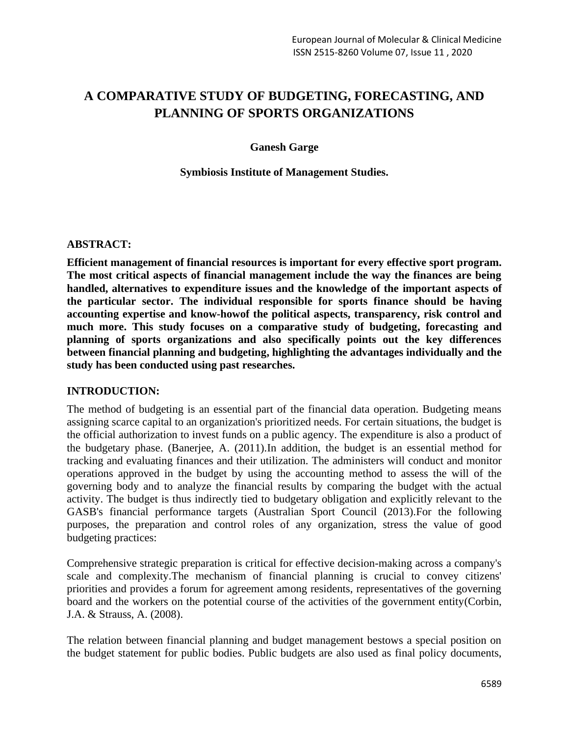# **A COMPARATIVE STUDY OF BUDGETING, FORECASTING, AND PLANNING OF SPORTS ORGANIZATIONS**

#### **Ganesh Garge**

#### **Symbiosis Institute of Management Studies.**

#### **ABSTRACT:**

**Efficient management of financial resources is important for every effective sport program. The most critical aspects of financial management include the way the finances are being handled, alternatives to expenditure issues and the knowledge of the important aspects of the particular sector. The individual responsible for sports finance should be having accounting expertise and know-howof the political aspects, transparency, risk control and much more. This study focuses on a comparative study of budgeting, forecasting and planning of sports organizations and also specifically points out the key differences between financial planning and budgeting, highlighting the advantages individually and the study has been conducted using past researches.**

### **INTRODUCTION:**

The method of budgeting is an essential part of the financial data operation. Budgeting means assigning scarce capital to an organization's prioritized needs. For certain situations, the budget is the official authorization to invest funds on a public agency. The expenditure is also a product of the budgetary phase. (Banerjee, A. (2011).In addition, the budget is an essential method for tracking and evaluating finances and their utilization. The administers will conduct and monitor operations approved in the budget by using the accounting method to assess the will of the governing body and to analyze the financial results by comparing the budget with the actual activity. The budget is thus indirectly tied to budgetary obligation and explicitly relevant to the GASB's financial performance targets (Australian Sport Council (2013).For the following purposes, the preparation and control roles of any organization, stress the value of good budgeting practices:

Comprehensive strategic preparation is critical for effective decision-making across a company's scale and complexity.The mechanism of financial planning is crucial to convey citizens' priorities and provides a forum for agreement among residents, representatives of the governing board and the workers on the potential course of the activities of the government entity(Corbin, J.A. & Strauss, A. (2008).

The relation between financial planning and budget management bestows a special position on the budget statement for public bodies. Public budgets are also used as final policy documents,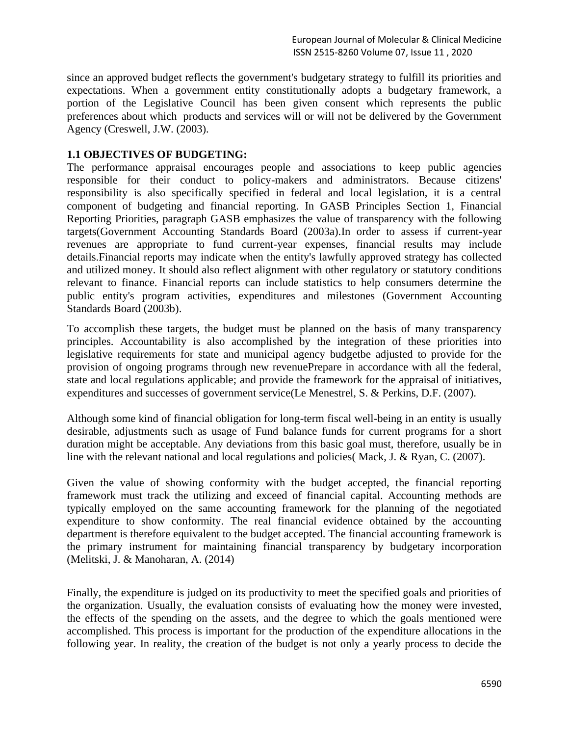since an approved budget reflects the government's budgetary strategy to fulfill its priorities and expectations. When a government entity constitutionally adopts a budgetary framework, a portion of the Legislative Council has been given consent which represents the public preferences about which products and services will or will not be delivered by the Government Agency (Creswell, J.W. (2003).

# **1.1 OBJECTIVES OF BUDGETING:**

The performance appraisal encourages people and associations to keep public agencies responsible for their conduct to policy-makers and administrators. Because citizens' responsibility is also specifically specified in federal and local legislation, it is a central component of budgeting and financial reporting. In GASB Principles Section 1, Financial Reporting Priorities, paragraph GASB emphasizes the value of transparency with the following targets(Government Accounting Standards Board (2003a).In order to assess if current-year revenues are appropriate to fund current-year expenses, financial results may include details.Financial reports may indicate when the entity's lawfully approved strategy has collected and utilized money. It should also reflect alignment with other regulatory or statutory conditions relevant to finance. Financial reports can include statistics to help consumers determine the public entity's program activities, expenditures and milestones (Government Accounting Standards Board (2003b).

To accomplish these targets, the budget must be planned on the basis of many transparency principles. Accountability is also accomplished by the integration of these priorities into legislative requirements for state and municipal agency budgetbe adjusted to provide for the provision of ongoing programs through new revenuePrepare in accordance with all the federal, state and local regulations applicable; and provide the framework for the appraisal of initiatives, expenditures and successes of government service(Le Menestrel, S. & Perkins, D.F. (2007).

Although some kind of financial obligation for long-term fiscal well-being in an entity is usually desirable, adjustments such as usage of Fund balance funds for current programs for a short duration might be acceptable. Any deviations from this basic goal must, therefore, usually be in line with the relevant national and local regulations and policies( Mack, J. & Ryan, C. (2007).

Given the value of showing conformity with the budget accepted, the financial reporting framework must track the utilizing and exceed of financial capital. Accounting methods are typically employed on the same accounting framework for the planning of the negotiated expenditure to show conformity. The real financial evidence obtained by the accounting department is therefore equivalent to the budget accepted. The financial accounting framework is the primary instrument for maintaining financial transparency by budgetary incorporation (Melitski, J. & Manoharan, A. (2014)

Finally, the expenditure is judged on its productivity to meet the specified goals and priorities of the organization. Usually, the evaluation consists of evaluating how the money were invested, the effects of the spending on the assets, and the degree to which the goals mentioned were accomplished. This process is important for the production of the expenditure allocations in the following year. In reality, the creation of the budget is not only a yearly process to decide the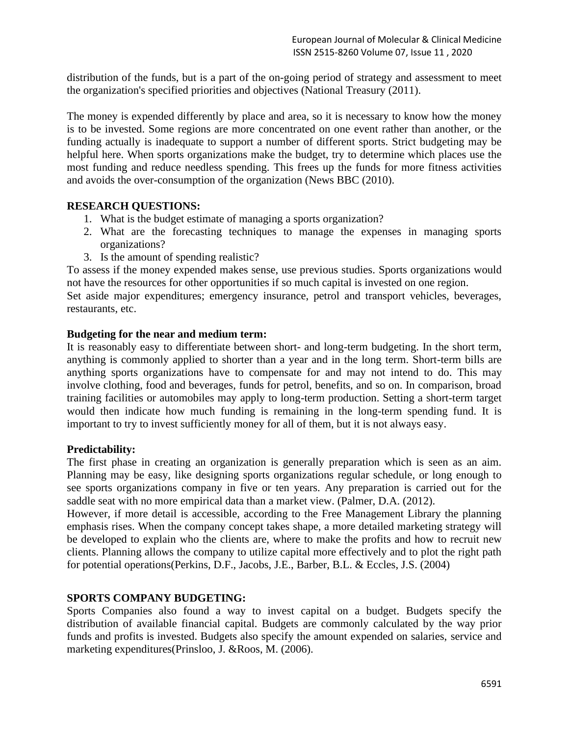distribution of the funds, but is a part of the on-going period of strategy and assessment to meet the organization's specified priorities and objectives (National Treasury (2011).

The money is expended differently by place and area, so it is necessary to know how the money is to be invested. Some regions are more concentrated on one event rather than another, or the funding actually is inadequate to support a number of different sports. Strict budgeting may be helpful here. When sports organizations make the budget, try to determine which places use the most funding and reduce needless spending. This frees up the funds for more fitness activities and avoids the over-consumption of the organization (News BBC (2010).

# **RESEARCH QUESTIONS:**

- 1. What is the budget estimate of managing a sports organization?
- 2. What are the forecasting techniques to manage the expenses in managing sports organizations?
- 3. Is the amount of spending realistic?

To assess if the money expended makes sense, use previous studies. Sports organizations would not have the resources for other opportunities if so much capital is invested on one region.

Set aside major expenditures; emergency insurance, petrol and transport vehicles, beverages, restaurants, etc.

#### **Budgeting for the near and medium term:**

It is reasonably easy to differentiate between short- and long-term budgeting. In the short term, anything is commonly applied to shorter than a year and in the long term. Short-term bills are anything sports organizations have to compensate for and may not intend to do. This may involve clothing, food and beverages, funds for petrol, benefits, and so on. In comparison, broad training facilities or automobiles may apply to long-term production. Setting a short-term target would then indicate how much funding is remaining in the long-term spending fund. It is important to try to invest sufficiently money for all of them, but it is not always easy.

# **Predictability:**

The first phase in creating an organization is generally preparation which is seen as an aim. Planning may be easy, like designing sports organizations regular schedule, or long enough to see sports organizations company in five or ten years. Any preparation is carried out for the saddle seat with no more empirical data than a market view. (Palmer, D.A. (2012).

However, if more detail is accessible, according to the Free Management Library the planning emphasis rises. When the company concept takes shape, a more detailed marketing strategy will be developed to explain who the clients are, where to make the profits and how to recruit new clients. Planning allows the company to utilize capital more effectively and to plot the right path for potential operations(Perkins, D.F., Jacobs, J.E., Barber, B.L. & Eccles, J.S. (2004)

# **SPORTS COMPANY BUDGETING:**

Sports Companies also found a way to invest capital on a budget. Budgets specify the distribution of available financial capital. Budgets are commonly calculated by the way prior funds and profits is invested. Budgets also specify the amount expended on salaries, service and marketing expenditures(Prinsloo, J. &Roos, M. (2006).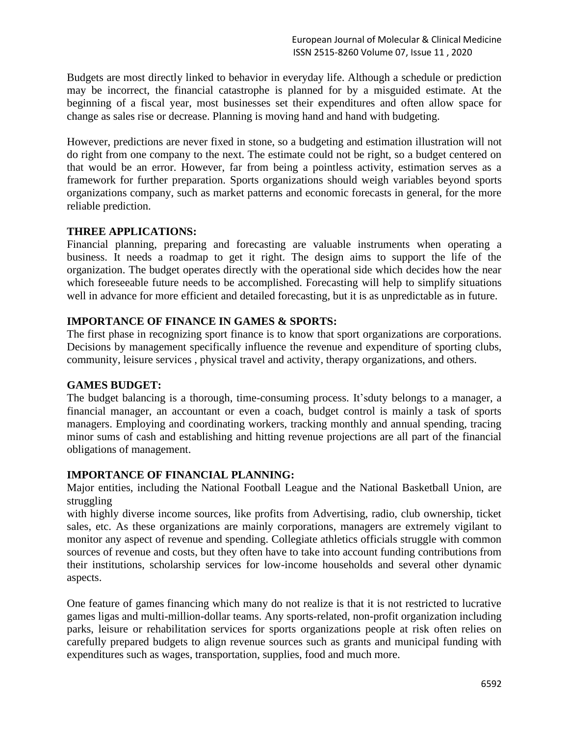Budgets are most directly linked to behavior in everyday life. Although a schedule or prediction may be incorrect, the financial catastrophe is planned for by a misguided estimate. At the beginning of a fiscal year, most businesses set their expenditures and often allow space for change as sales rise or decrease. Planning is moving hand and hand with budgeting.

However, predictions are never fixed in stone, so a budgeting and estimation illustration will not do right from one company to the next. The estimate could not be right, so a budget centered on that would be an error. However, far from being a pointless activity, estimation serves as a framework for further preparation. Sports organizations should weigh variables beyond sports organizations company, such as market patterns and economic forecasts in general, for the more reliable prediction.

# **THREE APPLICATIONS:**

Financial planning, preparing and forecasting are valuable instruments when operating a business. It needs a roadmap to get it right. The design aims to support the life of the organization. The budget operates directly with the operational side which decides how the near which foreseeable future needs to be accomplished. Forecasting will help to simplify situations well in advance for more efficient and detailed forecasting, but it is as unpredictable as in future.

# **IMPORTANCE OF FINANCE IN GAMES & SPORTS:**

The first phase in recognizing sport finance is to know that sport organizations are corporations. Decisions by management specifically influence the revenue and expenditure of sporting clubs, community, leisure services , physical travel and activity, therapy organizations, and others.

# **GAMES BUDGET:**

The budget balancing is a thorough, time-consuming process. It'sduty belongs to a manager, a financial manager, an accountant or even a coach, budget control is mainly a task of sports managers. Employing and coordinating workers, tracking monthly and annual spending, tracing minor sums of cash and establishing and hitting revenue projections are all part of the financial obligations of management.

# **IMPORTANCE OF FINANCIAL PLANNING:**

Major entities, including the National Football League and the National Basketball Union, are struggling

with highly diverse income sources, like profits from Advertising, radio, club ownership, ticket sales, etc. As these organizations are mainly corporations, managers are extremely vigilant to monitor any aspect of revenue and spending. Collegiate athletics officials struggle with common sources of revenue and costs, but they often have to take into account funding contributions from their institutions, scholarship services for low-income households and several other dynamic aspects.

One feature of games financing which many do not realize is that it is not restricted to lucrative games ligas and multi-million-dollar teams. Any sports-related, non-profit organization including parks, leisure or rehabilitation services for sports organizations people at risk often relies on carefully prepared budgets to align revenue sources such as grants and municipal funding with expenditures such as wages, transportation, supplies, food and much more.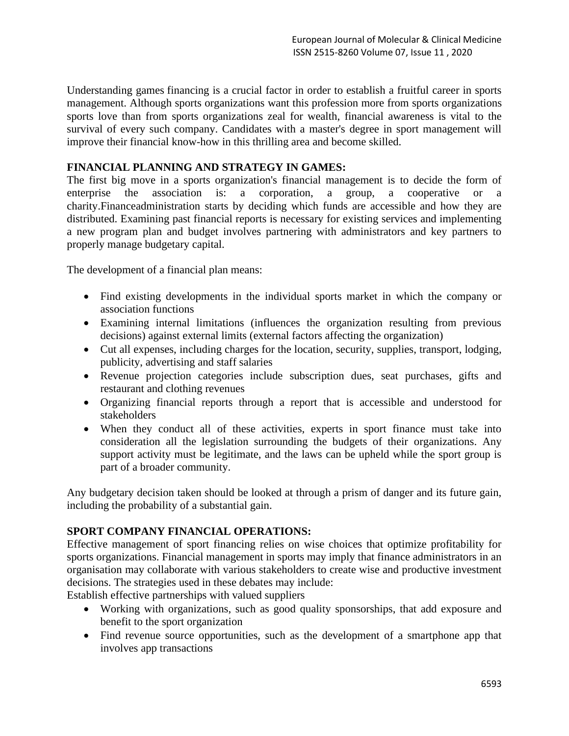Understanding games financing is a crucial factor in order to establish a fruitful career in sports management. Although sports organizations want this profession more from sports organizations sports love than from sports organizations zeal for wealth, financial awareness is vital to the survival of every such company. Candidates with a master's degree in sport management will improve their financial know-how in this thrilling area and become skilled.

# **FINANCIAL PLANNING AND STRATEGY IN GAMES:**

The first big move in a sports organization's financial management is to decide the form of enterprise the association is: a corporation, a group, a cooperative or a charity.Financeadministration starts by deciding which funds are accessible and how they are distributed. Examining past financial reports is necessary for existing services and implementing a new program plan and budget involves partnering with administrators and key partners to properly manage budgetary capital.

The development of a financial plan means:

- Find existing developments in the individual sports market in which the company or association functions
- Examining internal limitations (influences the organization resulting from previous decisions) against external limits (external factors affecting the organization)
- Cut all expenses, including charges for the location, security, supplies, transport, lodging, publicity, advertising and staff salaries
- Revenue projection categories include subscription dues, seat purchases, gifts and restaurant and clothing revenues
- Organizing financial reports through a report that is accessible and understood for stakeholders
- When they conduct all of these activities, experts in sport finance must take into consideration all the legislation surrounding the budgets of their organizations. Any support activity must be legitimate, and the laws can be upheld while the sport group is part of a broader community.

Any budgetary decision taken should be looked at through a prism of danger and its future gain, including the probability of a substantial gain.

# **SPORT COMPANY FINANCIAL OPERATIONS:**

Effective management of sport financing relies on wise choices that optimize profitability for sports organizations. Financial management in sports may imply that finance administrators in an organisation may collaborate with various stakeholders to create wise and productive investment decisions. The strategies used in these debates may include:

Establish effective partnerships with valued suppliers

- Working with organizations, such as good quality sponsorships, that add exposure and benefit to the sport organization
- Find revenue source opportunities, such as the development of a smartphone app that involves app transactions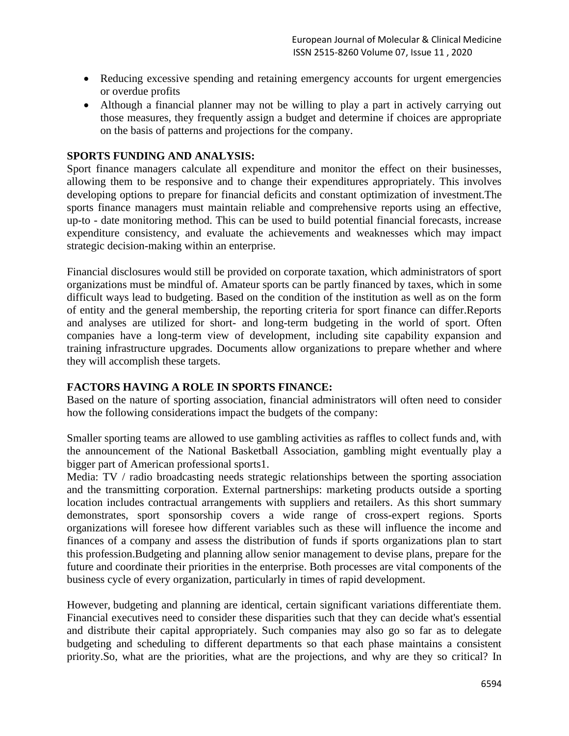- Reducing excessive spending and retaining emergency accounts for urgent emergencies or overdue profits
- Although a financial planner may not be willing to play a part in actively carrying out those measures, they frequently assign a budget and determine if choices are appropriate on the basis of patterns and projections for the company.

# **SPORTS FUNDING AND ANALYSIS:**

Sport finance managers calculate all expenditure and monitor the effect on their businesses, allowing them to be responsive and to change their expenditures appropriately. This involves developing options to prepare for financial deficits and constant optimization of investment.The sports finance managers must maintain reliable and comprehensive reports using an effective, up-to - date monitoring method. This can be used to build potential financial forecasts, increase expenditure consistency, and evaluate the achievements and weaknesses which may impact strategic decision-making within an enterprise.

Financial disclosures would still be provided on corporate taxation, which administrators of sport organizations must be mindful of. Amateur sports can be partly financed by taxes, which in some difficult ways lead to budgeting. Based on the condition of the institution as well as on the form of entity and the general membership, the reporting criteria for sport finance can differ.Reports and analyses are utilized for short- and long-term budgeting in the world of sport. Often companies have a long-term view of development, including site capability expansion and training infrastructure upgrades. Documents allow organizations to prepare whether and where they will accomplish these targets.

#### **FACTORS HAVING A ROLE IN SPORTS FINANCE:**

Based on the nature of sporting association, financial administrators will often need to consider how the following considerations impact the budgets of the company:

Smaller sporting teams are allowed to use gambling activities as raffles to collect funds and, with the announcement of the National Basketball Association, gambling might eventually play a bigger part of American professional sports1.

Media: TV / radio broadcasting needs strategic relationships between the sporting association and the transmitting corporation. External partnerships: marketing products outside a sporting location includes contractual arrangements with suppliers and retailers. As this short summary demonstrates, sport sponsorship covers a wide range of cross-expert regions. Sports organizations will foresee how different variables such as these will influence the income and finances of a company and assess the distribution of funds if sports organizations plan to start this profession.Budgeting and planning allow senior management to devise plans, prepare for the future and coordinate their priorities in the enterprise. Both processes are vital components of the business cycle of every organization, particularly in times of rapid development.

However, budgeting and planning are identical, certain significant variations differentiate them. Financial executives need to consider these disparities such that they can decide what's essential and distribute their capital appropriately. Such companies may also go so far as to delegate budgeting and scheduling to different departments so that each phase maintains a consistent priority.So, what are the priorities, what are the projections, and why are they so critical? In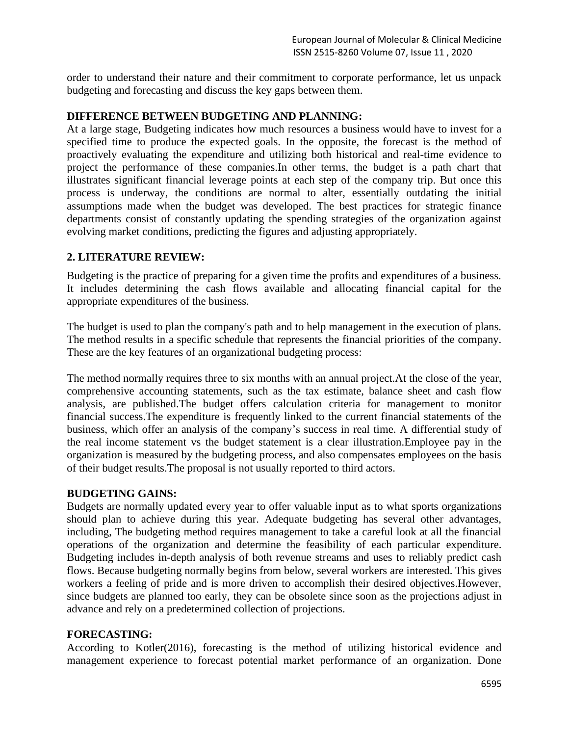order to understand their nature and their commitment to corporate performance, let us unpack budgeting and forecasting and discuss the key gaps between them.

### **DIFFERENCE BETWEEN BUDGETING AND PLANNING:**

At a large stage, Budgeting indicates how much resources a business would have to invest for a specified time to produce the expected goals. In the opposite, the forecast is the method of proactively evaluating the expenditure and utilizing both historical and real-time evidence to project the performance of these companies.In other terms, the budget is a path chart that illustrates significant financial leverage points at each step of the company trip. But once this process is underway, the conditions are normal to alter, essentially outdating the initial assumptions made when the budget was developed. The best practices for strategic finance departments consist of constantly updating the spending strategies of the organization against evolving market conditions, predicting the figures and adjusting appropriately.

#### **2. LITERATURE REVIEW:**

Budgeting is the practice of preparing for a given time the profits and expenditures of a business. It includes determining the cash flows available and allocating financial capital for the appropriate expenditures of the business.

The budget is used to plan the company's path and to help management in the execution of plans. The method results in a specific schedule that represents the financial priorities of the company. These are the key features of an organizational budgeting process:

The method normally requires three to six months with an annual project.At the close of the year, comprehensive accounting statements, such as the tax estimate, balance sheet and cash flow analysis, are published.The budget offers calculation criteria for management to monitor financial success.The expenditure is frequently linked to the current financial statements of the business, which offer an analysis of the company's success in real time. A differential study of the real income statement vs the budget statement is a clear illustration.Employee pay in the organization is measured by the budgeting process, and also compensates employees on the basis of their budget results.The proposal is not usually reported to third actors.

# **BUDGETING GAINS:**

Budgets are normally updated every year to offer valuable input as to what sports organizations should plan to achieve during this year. Adequate budgeting has several other advantages, including, The budgeting method requires management to take a careful look at all the financial operations of the organization and determine the feasibility of each particular expenditure. Budgeting includes in-depth analysis of both revenue streams and uses to reliably predict cash flows. Because budgeting normally begins from below, several workers are interested. This gives workers a feeling of pride and is more driven to accomplish their desired objectives.However, since budgets are planned too early, they can be obsolete since soon as the projections adjust in advance and rely on a predetermined collection of projections.

# **FORECASTING:**

According to Kotler(2016), forecasting is the method of utilizing historical evidence and management experience to forecast potential market performance of an organization. Done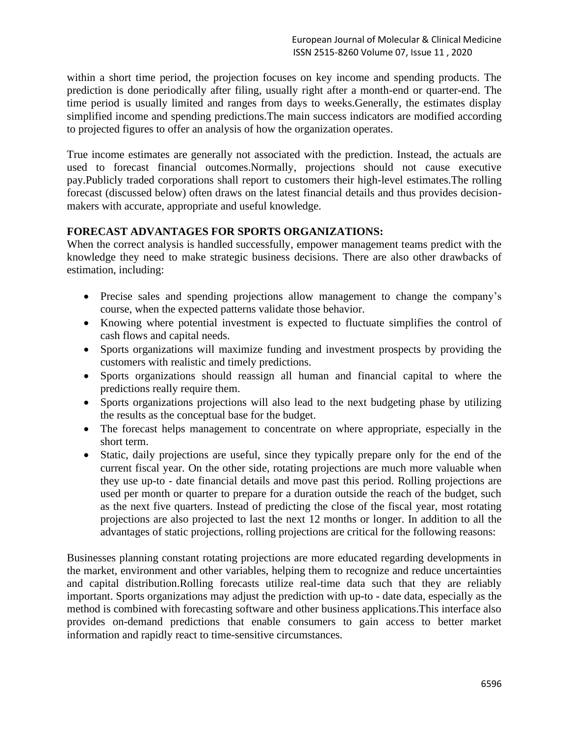within a short time period, the projection focuses on key income and spending products. The prediction is done periodically after filing, usually right after a month-end or quarter-end. The time period is usually limited and ranges from days to weeks.Generally, the estimates display simplified income and spending predictions.The main success indicators are modified according to projected figures to offer an analysis of how the organization operates.

True income estimates are generally not associated with the prediction. Instead, the actuals are used to forecast financial outcomes.Normally, projections should not cause executive pay.Publicly traded corporations shall report to customers their high-level estimates.The rolling forecast (discussed below) often draws on the latest financial details and thus provides decisionmakers with accurate, appropriate and useful knowledge.

# **FORECAST ADVANTAGES FOR SPORTS ORGANIZATIONS:**

When the correct analysis is handled successfully, empower management teams predict with the knowledge they need to make strategic business decisions. There are also other drawbacks of estimation, including:

- Precise sales and spending projections allow management to change the company's course, when the expected patterns validate those behavior.
- Knowing where potential investment is expected to fluctuate simplifies the control of cash flows and capital needs.
- Sports organizations will maximize funding and investment prospects by providing the customers with realistic and timely predictions.
- Sports organizations should reassign all human and financial capital to where the predictions really require them.
- Sports organizations projections will also lead to the next budgeting phase by utilizing the results as the conceptual base for the budget.
- The forecast helps management to concentrate on where appropriate, especially in the short term.
- Static, daily projections are useful, since they typically prepare only for the end of the current fiscal year. On the other side, rotating projections are much more valuable when they use up-to - date financial details and move past this period. Rolling projections are used per month or quarter to prepare for a duration outside the reach of the budget, such as the next five quarters. Instead of predicting the close of the fiscal year, most rotating projections are also projected to last the next 12 months or longer. In addition to all the advantages of static projections, rolling projections are critical for the following reasons:

Businesses planning constant rotating projections are more educated regarding developments in the market, environment and other variables, helping them to recognize and reduce uncertainties and capital distribution.Rolling forecasts utilize real-time data such that they are reliably important. Sports organizations may adjust the prediction with up-to - date data, especially as the method is combined with forecasting software and other business applications.This interface also provides on-demand predictions that enable consumers to gain access to better market information and rapidly react to time-sensitive circumstances.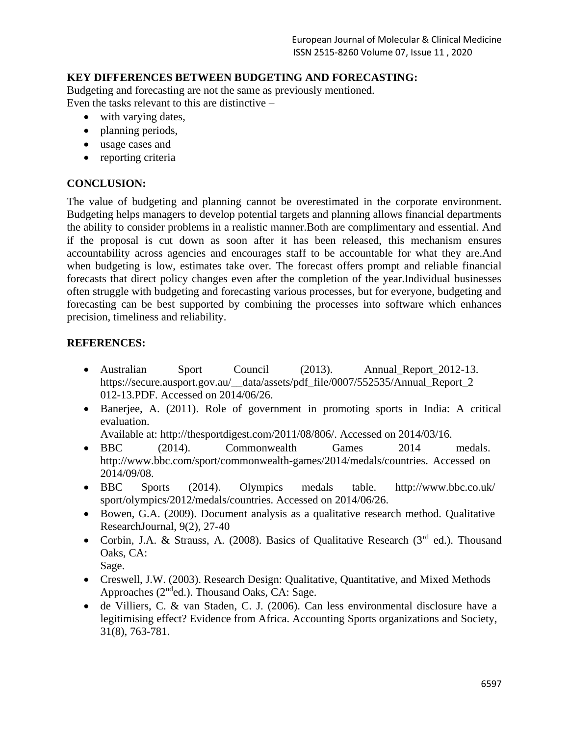# **KEY DIFFERENCES BETWEEN BUDGETING AND FORECASTING:**

Budgeting and forecasting are not the same as previously mentioned. Even the tasks relevant to this are distinctive –

- with varying dates,
- planning periods,
- usage cases and
- reporting criteria

# **CONCLUSION:**

The value of budgeting and planning cannot be overestimated in the corporate environment. Budgeting helps managers to develop potential targets and planning allows financial departments the ability to consider problems in a realistic manner.Both are complimentary and essential. And if the proposal is cut down as soon after it has been released, this mechanism ensures accountability across agencies and encourages staff to be accountable for what they are.And when budgeting is low, estimates take over. The forecast offers prompt and reliable financial forecasts that direct policy changes even after the completion of the year.Individual businesses often struggle with budgeting and forecasting various processes, but for everyone, budgeting and forecasting can be best supported by combining the processes into software which enhances precision, timeliness and reliability.

# **REFERENCES:**

- Australian Sport Council (2013). Annual Report 2012-13. [https://secure.ausport.gov.au/\\_\\_data/assets/pdf\\_file/0007/552535/Annual\\_Report\\_2](https://secure.ausport.gov.au/__%20data/assets/pdf_file/0007/552535/Annual_Report_2012-13.PDF) [012-13.PDF. A](https://secure.ausport.gov.au/__%20data/assets/pdf_file/0007/552535/Annual_Report_2012-13.PDF)ccessed on 2014/06/26.
- Banerjee, A. (2011). Role of government in promoting sports in India: A critical evaluation.

Available at: [http://thesportdigest.com/2011/08/806/. A](http://thesportdigest.com/2011/08/806/)ccessed on 2014/03/16.

- BBC (2014). Commonwealth Games 2014 medals. [http://www.bbc.com/sport/commonwealth-games/2014/medals/countries. Accessed on](http://www.bbc.com/sport/commonwealth-games/2014/medals/countries.%20Accessed%20on%202014/09/08)  [2014/09/08.](http://www.bbc.com/sport/commonwealth-games/2014/medals/countries.%20Accessed%20on%202014/09/08)
- BBC Sports (2014). Olympics medals table. [http://www.bbc.co.uk/](http://www.bbc.co.uk/%20sport/olympics/2012/medals%20/countries)  [sport/olympics/2012/medals/countries. A](http://www.bbc.co.uk/%20sport/olympics/2012/medals%20/countries)ccessed on 2014/06/26.
- Bowen, G.A. (2009). Document analysis as a qualitative research method. Qualitative ResearchJournal, 9(2), 27-40
- Corbin, J.A. & Strauss, A. (2008). Basics of Qualitative Research ( $3<sup>rd</sup>$  ed.). Thousand Oaks, CA:
	- Sage.
- Creswell, J.W. (2003). Research Design: Qualitative, Quantitative, and Mixed Methods Approaches (2nded.). Thousand Oaks, CA: Sage.
- de Villiers, C. & van Staden, C. J. (2006). Can less environmental disclosure have a legitimising effect? Evidence from Africa. Accounting Sports organizations and Society, 31(8), 763-781.